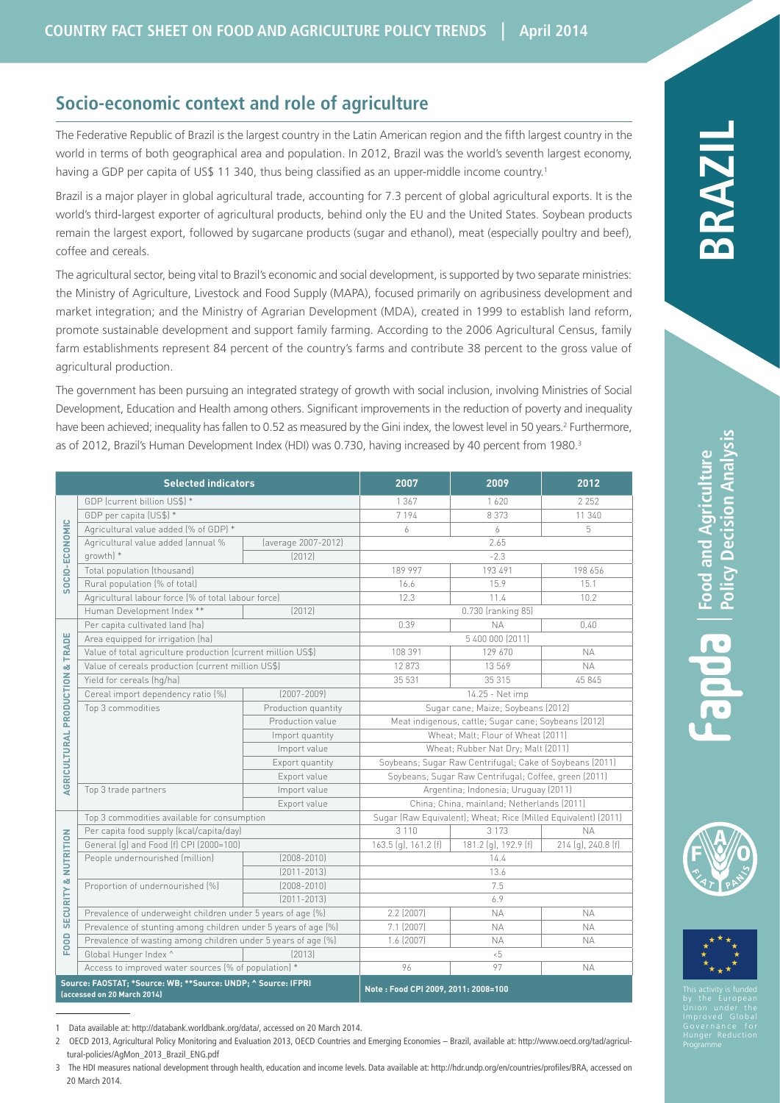# **Socio-economic context and role of agriculture**

The Federative Republic of Brazil is the largest country in the Latin American region and the fifth largest country in the world in terms of both geographical area and population. In 2012, Brazil was the world's seventh largest economy, having a GDP per capita of US\$ 11 340, thus being classified as an upper-middle income country.<sup>1</sup>

Brazil is a major player in global agricultural trade, accounting for 7.3 percent of global agricultural exports. It is the world's third-largest exporter of agricultural products, behind only the EU and the United States. Soybean products remain the largest export, followed by sugarcane products (sugar and ethanol), meat (especially poultry and beef), coffee and cereals.

The agricultural sector, being vital to Brazil's economic and social development, is supported by two separate ministries: the Ministry of Agriculture, Livestock and Food Supply (MAPA), focused primarily on agribusiness development and market integration; and the Ministry of Agrarian Development (MDA), created in 1999 to establish land reform, promote sustainable development and support family farming. According to the 2006 Agricultural Census, family farm establishments represent 84 percent of the country's farms and contribute 38 percent to the gross value of agricultural production.

The government has been pursuing an integrated strategy of growth with social inclusion, involving Ministries of Social Development, Education and Health among others. Significant improvements in the reduction of poverty and inequality have been achieved; inequality has fallen to 0.52 as measured by the Gini index, the lowest level in 50 years.<sup>2</sup> Furthermore, as of 2012, Brazil's Human Development Index (HDI) was 0.730, having increased by 40 percent from 1980.<sup>3</sup>

| <b>Selected indicators</b>                                                                   |                                                                |                     | 2007                                                           | 2009                 | 2012               |
|----------------------------------------------------------------------------------------------|----------------------------------------------------------------|---------------------|----------------------------------------------------------------|----------------------|--------------------|
| SOCIO-ECONOMIC                                                                               | GDP (current billion US\$) *                                   |                     | 1 3 6 7                                                        | 1620                 | 2 2 5 2            |
|                                                                                              | GDP per capita (US\$) *                                        |                     | 7 1 9 4                                                        | 8 3 7 3              | 11 340             |
|                                                                                              | Agricultural value added (% of GDP) *                          |                     | 6                                                              | 6                    | 5                  |
|                                                                                              | Agricultural value added (annual %<br>growth) *                | (average 2007-2012) | 2.65                                                           |                      |                    |
|                                                                                              |                                                                | [2012]              | $-2.3$                                                         |                      |                    |
|                                                                                              | Total population (thousand)                                    |                     | 189 997                                                        | 193 491              | 198 656            |
|                                                                                              | Rural population (% of total)                                  |                     | 16.6                                                           | 15.9                 | 15.1               |
|                                                                                              | Agricultural labour force (% of total labour force)            |                     | 12.3                                                           | 11.4                 | 10.2               |
|                                                                                              | Human Development Index **<br>[2012]                           |                     | 0.730 (ranking 85)                                             |                      |                    |
| <b>AGRICULTURAL PRODUCTION &amp; TRADE</b>                                                   | Per capita cultivated land (ha)                                |                     | 0.39                                                           | <b>NA</b>            | 0.40               |
|                                                                                              | Area equipped for irrigation (ha)                              |                     | 5 400 000 (2011)                                               |                      |                    |
|                                                                                              | Value of total agriculture production (current million US\$)   |                     | 108 391                                                        | 129 670              | <b>NA</b>          |
|                                                                                              | Value of cereals production (current million US\$)             |                     | 12873                                                          | 13 569               | <b>NA</b>          |
|                                                                                              | Yield for cereals (hg/ha)                                      |                     | 35 531                                                         | 35 315               | 45 845             |
|                                                                                              | Cereal import dependency ratio [%]                             | $[2007 - 2009]$     | 14.25 - Net imp                                                |                      |                    |
|                                                                                              | Top 3 commodities                                              | Production quantity | Sugar cane; Maize; Soybeans (2012)                             |                      |                    |
|                                                                                              |                                                                | Production value    | Meat indigenous, cattle; Sugar cane; Soybeans (2012)           |                      |                    |
|                                                                                              |                                                                | Import quantity     | Wheat; Malt; Flour of Wheat (2011)                             |                      |                    |
|                                                                                              |                                                                | Import value        | Wheat; Rubber Nat Dry; Malt (2011)                             |                      |                    |
|                                                                                              |                                                                | Export quantity     | Soybeans; Sugar Raw Centrifugal; Cake of Soybeans (2011)       |                      |                    |
|                                                                                              |                                                                | Export value        | Soybeans; Sugar Raw Centrifugal; Coffee, green (2011)          |                      |                    |
|                                                                                              | Top 3 trade partners                                           | Import value        | Argentina; Indonesia; Uruguay (2011)                           |                      |                    |
|                                                                                              |                                                                | Export value        | China; China, mainland; Netherlands (2011)                     |                      |                    |
| SECURITY & NUTRITION<br><b>FOOD</b>                                                          | Top 3 commodities available for consumption                    |                     | Sugar (Raw Equivalent); Wheat; Rice (Milled Equivalent) (2011) |                      |                    |
|                                                                                              | Per capita food supply (kcal/capita/day)                       |                     | 3 1 1 0                                                        | 3 1 7 3              | <b>NA</b>          |
|                                                                                              | General (g) and Food (f) CPI (2000=100)                        |                     | 163.5 (g), 161.2 (f)                                           | 181.2 (g), 192.9 (f) | 214 (g), 240.8 (f) |
|                                                                                              | People undernourished (million)                                | $[2008 - 2010]$     | 14.4                                                           |                      |                    |
|                                                                                              |                                                                | $[2011 - 2013]$     | 13.6                                                           |                      |                    |
|                                                                                              | Proportion of undernourished (%)                               | $[2008 - 2010]$     | 7.5                                                            |                      |                    |
|                                                                                              |                                                                | $[2011 - 2013]$     | 6.9                                                            |                      |                    |
|                                                                                              | Prevalence of underweight children under 5 years of age (%)    |                     | 2.2 (2007)                                                     | <b>NA</b>            | <b>NA</b>          |
|                                                                                              | Prevalence of stunting among children under 5 years of age (%) |                     | 7.1 (2007)                                                     | <b>NA</b>            | <b>NA</b>          |
|                                                                                              | Prevalence of wasting among children under 5 years of age (%)  |                     | $1.6$ (2007)                                                   | <b>NA</b>            | <b>NA</b>          |
|                                                                                              | Global Hunger Index ^                                          | [2013]              | $5 -$                                                          |                      |                    |
|                                                                                              | Access to improved water sources (% of population) *           |                     | 96                                                             | 97                   | <b>NA</b>          |
| Source: FAOSTAT; *Source: WB; **Source: UNDP; ^ Source: IFPRI<br>laccessed on 20 March 2014) |                                                                |                     | Note: Food CPI 2009, 2011: 2008=100                            |                      |                    |





**BRA ZIL**

<sup>1</sup> Data available at: http://databank.worldbank.org/data/, accessed on 20 March 2014.

<sup>2</sup> OECD 2013, Agricultural Policy Monitoring and Evaluation 2013, OECD Countries and Emerging Economies – Brazil, available at: http://www.oecd.org/tad/agricultural-policies/AgMon\_2013\_Brazil\_ENG.pdf

<sup>3</sup> The HDI measures national development through health, education and income levels. Data available at: http://hdr.undp.org/en/countries/profiles/BRA, accessed on 20 March 2014.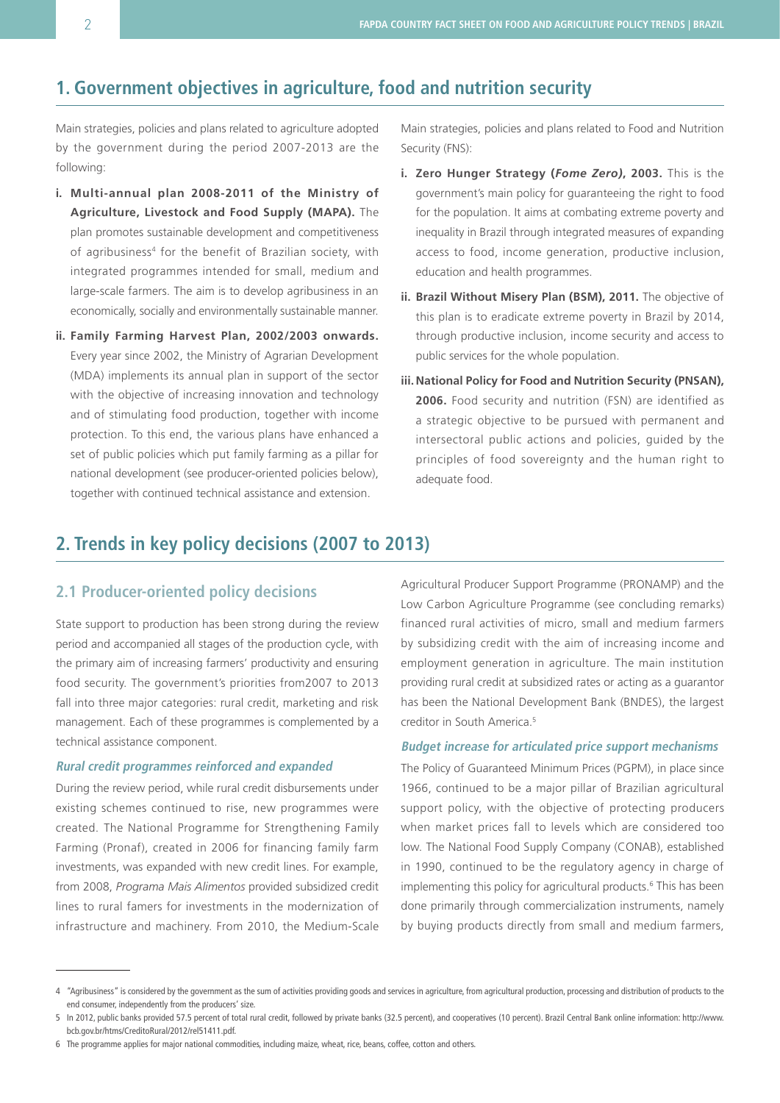## **1. Government objectives in agriculture, food and nutrition security**

Main strategies, policies and plans related to agriculture adopted by the government during the period 2007-2013 are the following:

- **i. Multi-annual plan 2008-2011 of the Ministry of Agriculture, Livestock and Food Supply (MAPA).** The plan promotes sustainable development and competitiveness of agribusiness<sup>4</sup> for the benefit of Brazilian society, with integrated programmes intended for small, medium and large-scale farmers. The aim is to develop agribusiness in an economically, socially and environmentally sustainable manner.
- **ii. Family Farming Harvest Plan, 2002/2003 onwards.** Every year since 2002, the Ministry of Agrarian Development (MDA) implements its annual plan in support of the sector with the objective of increasing innovation and technology and of stimulating food production, together with income protection. To this end, the various plans have enhanced a set of public policies which put family farming as a pillar for national development (see producer-oriented policies below), together with continued technical assistance and extension.

Main strategies, policies and plans related to Food and Nutrition Security (FNS):

- **i. Zero Hunger Strategy (***Fome Zero)***, 2003.** This is the government's main policy for guaranteeing the right to food for the population. It aims at combating extreme poverty and inequality in Brazil through integrated measures of expanding access to food, income generation, productive inclusion, education and health programmes.
- **ii. Brazil Without Misery Plan (BSM), 2011.** The objective of this plan is to eradicate extreme poverty in Brazil by 2014, through productive inclusion, income security and access to public services for the whole population.
- **iii. National Policy for Food and Nutrition Security (PNSAN), 2006.** Food security and nutrition (FSN) are identified as a strategic objective to be pursued with permanent and intersectoral public actions and policies, guided by the principles of food sovereignty and the human right to adequate food.

# **2. Trends in key policy decisions (2007 to 2013)**

## **2.1 Producer-oriented policy decisions**

State support to production has been strong during the review period and accompanied all stages of the production cycle, with the primary aim of increasing farmers' productivity and ensuring food security. The government's priorities from2007 to 2013 fall into three major categories: rural credit, marketing and risk management. Each of these programmes is complemented by a technical assistance component.

### **Rural credit programmes reinforced and expanded**

During the review period, while rural credit disbursements under existing schemes continued to rise, new programmes were created. The National Programme for Strengthening Family Farming (Pronaf), created in 2006 for financing family farm investments, was expanded with new credit lines. For example, from 2008, *Programa Mais Alimentos* provided subsidized credit lines to rural famers for investments in the modernization of infrastructure and machinery. From 2010, the Medium-Scale Agricultural Producer Support Programme (PRONAMP) and the Low Carbon Agriculture Programme (see concluding remarks) financed rural activities of micro, small and medium farmers by subsidizing credit with the aim of increasing income and employment generation in agriculture. The main institution providing rural credit at subsidized rates or acting as a guarantor has been the National Development Bank (BNDES), the largest creditor in South America.5

#### **Budget increase for articulated price support mechanisms**

The Policy of Guaranteed Minimum Prices (PGPM), in place since 1966, continued to be a major pillar of Brazilian agricultural support policy, with the objective of protecting producers when market prices fall to levels which are considered too low. The National Food Supply Company (CONAB), established in 1990, continued to be the regulatory agency in charge of implementing this policy for agricultural products.<sup>6</sup> This has been done primarily through commercialization instruments, namely by buying products directly from small and medium farmers,

<sup>4</sup> "Agribusiness" is considered by the government as the sum of activities providing goods and services in agriculture, from agricultural production, processing and distribution of products to the end consumer, independently from the producers' size.

<sup>5</sup> In 2012, public banks provided 57.5 percent of total rural credit, followed by private banks (32.5 percent), and cooperatives (10 percent). Brazil Central Bank online information: http://www. bcb.gov.br/htms/CreditoRural/2012/rel51411.pdf.

<sup>6</sup> The programme applies for major national commodities, including maize, wheat, rice, beans, coffee, cotton and others.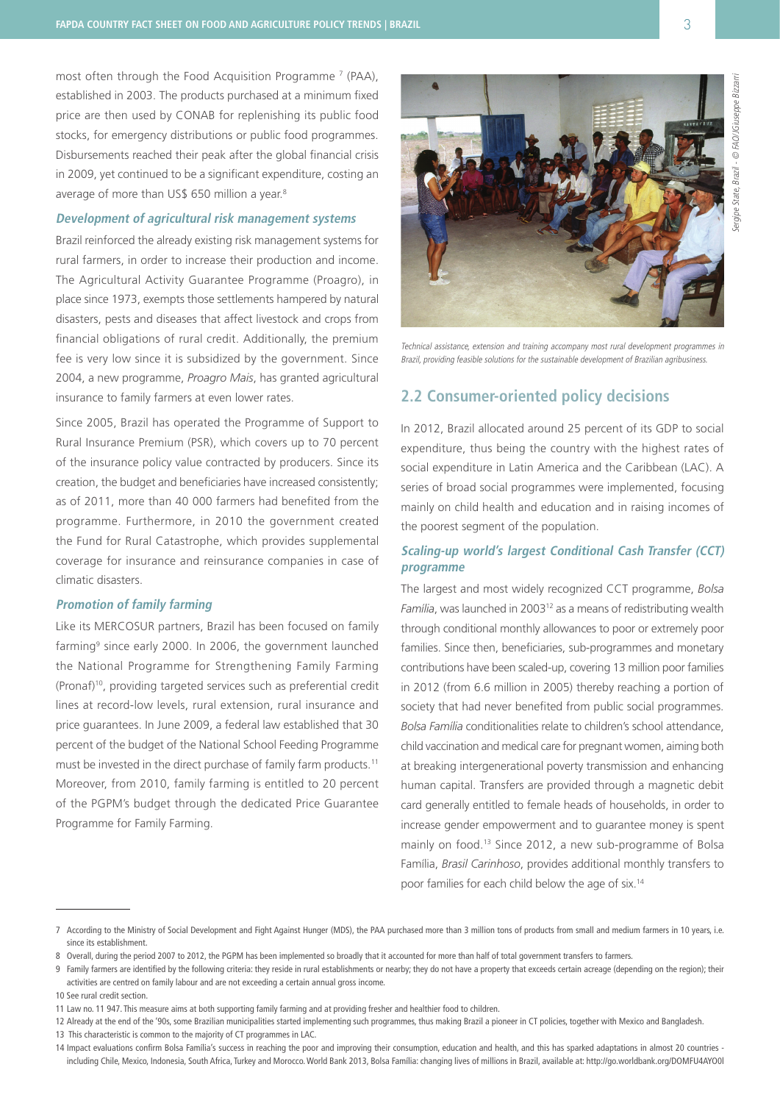most often through the Food Acquisition Programme <sup>7</sup> (PAA), established in 2003. The products purchased at a minimum fixed price are then used by CONAB for replenishing its public food stocks, for emergency distributions or public food programmes. Disbursements reached their peak after the global financial crisis in 2009, yet continued to be a significant expenditure, costing an average of more than US\$ 650 million a year.<sup>8</sup>

#### **Development of agricultural risk management systems**

Brazil reinforced the already existing risk management systems for rural farmers, in order to increase their production and income. The Agricultural Activity Guarantee Programme (Proagro), in place since 1973, exempts those settlements hampered by natural disasters, pests and diseases that affect livestock and crops from financial obligations of rural credit. Additionally, the premium fee is very low since it is subsidized by the government. Since 2004, a new programme, *Proagro Mais*, has granted agricultural insurance to family farmers at even lower rates.

Since 2005, Brazil has operated the Programme of Support to Rural Insurance Premium (PSR), which covers up to 70 percent of the insurance policy value contracted by producers. Since its creation, the budget and beneficiaries have increased consistently; as of 2011, more than 40 000 farmers had benefited from the programme. Furthermore, in 2010 the government created the Fund for Rural Catastrophe, which provides supplemental coverage for insurance and reinsurance companies in case of climatic disasters.

### **Promotion of family farming**

Like its MERCOSUR partners, Brazil has been focused on family farming<sup>9</sup> since early 2000. In 2006, the government launched the National Programme for Strengthening Family Farming (Pronaf)10, providing targeted services such as preferential credit lines at record-low levels, rural extension, rural insurance and price guarantees. In June 2009, a federal law established that 30 percent of the budget of the National School Feeding Programme must be invested in the direct purchase of family farm products.11 Moreover, from 2010, family farming is entitled to 20 percent of the PGPM's budget through the dedicated Price Guarantee Programme for Family Farming.



Technical assistance, extension and training accompany most rural development programmes in Brazil, providing feasible solutions for the sustainable development of Brazilian agribusiness.

## **2.2 Consumer-oriented policy decisions**

In 2012, Brazil allocated around 25 percent of its GDP to social expenditure, thus being the country with the highest rates of social expenditure in Latin America and the Caribbean (LAC). A series of broad social programmes were implemented, focusing mainly on child health and education and in raising incomes of the poorest segment of the population.

### **Scaling-up world's largest Conditional Cash Transfer (CCT) programme**

The largest and most widely recognized CCT programme, *Bolsa*  Família, was launched in 2003<sup>12</sup> as a means of redistributing wealth through conditional monthly allowances to poor or extremely poor families. Since then, beneficiaries, sub-programmes and monetary contributions have been scaled-up, covering 13 million poor families in 2012 (from 6.6 million in 2005) thereby reaching a portion of society that had never benefited from public social programmes. *Bolsa Família* conditionalities relate to children's school attendance, child vaccination and medical care for pregnant women, aiming both at breaking intergenerational poverty transmission and enhancing human capital. Transfers are provided through a magnetic debit card generally entitled to female heads of households, in order to increase gender empowerment and to guarantee money is spent mainly on food.13 Since 2012, a new sub-programme of Bolsa Família, *Brasil Carinhoso*, provides additional monthly transfers to poor families for each child below the age of six.14

<sup>7</sup> According to the Ministry of Social Development and Fight Against Hunger (MDS), the PAA purchased more than 3 million tons of products from small and medium farmers in 10 years, i.e. since its establishment.

<sup>8</sup> Overall, during the period 2007 to 2012, the PGPM has been implemented so broadly that it accounted for more than half of total government transfers to farmers.

<sup>9</sup> Family farmers are identified by the following criteria: they reside in rural establishments or nearby; they do not have a property that exceeds certain acreage (depending on the region); their activities are centred on family labour and are not exceeding a certain annual gross income.

<sup>10</sup> See rural credit section.

<sup>11</sup> Law no. 11 947. This measure aims at both supporting family farming and at providing fresher and healthier food to children.

<sup>12</sup> Already at the end of the '90s, some Brazilian municipalities started implementing such programmes, thus making Brazil a pioneer in CT policies, together with Mexico and Bangladesh.

<sup>13</sup> This characteristic is common to the majority of CT programmes in LAC.

<sup>14</sup> Impact evaluations confirm Bolsa Família's success in reaching the poor and improving their consumption, education and health, and this has sparked adaptations in almost 20 countries including Chile, Mexico, Indonesia, South Africa, Turkey and Morocco. World Bank 2013, Bolsa Família: changing lives of millions in Brazil, available at: http://go.worldbank.org/DOMFU4AYO0l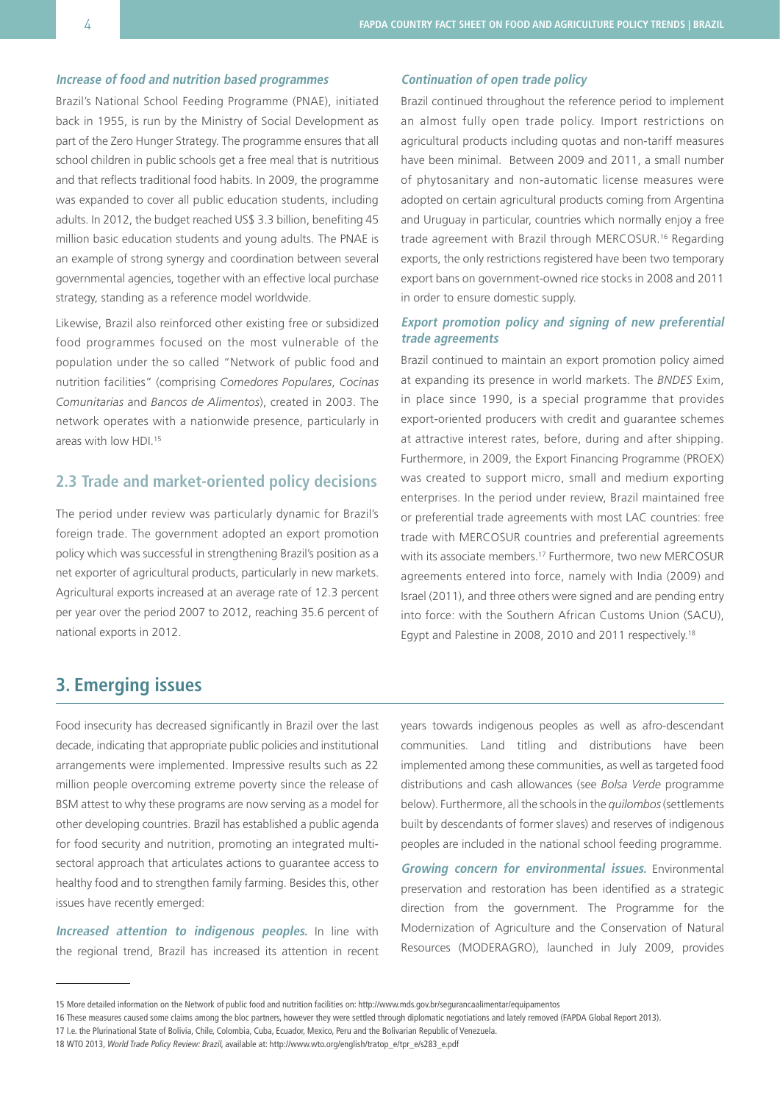### **Increase of food and nutrition based programmes**

Brazil's National School Feeding Programme (PNAE), initiated back in 1955, is run by the Ministry of Social Development as part of the Zero Hunger Strategy. The programme ensures that all school children in public schools get a free meal that is nutritious and that reflects traditional food habits. In 2009, the programme was expanded to cover all public education students, including adults. In 2012, the budget reached US\$ 3.3 billion, benefiting 45 million basic education students and young adults. The PNAE is an example of strong synergy and coordination between several governmental agencies, together with an effective local purchase strategy, standing as a reference model worldwide.

Likewise, Brazil also reinforced other existing free or subsidized food programmes focused on the most vulnerable of the population under the so called "Network of public food and nutrition facilities" (comprising *Comedores Populares*, *Cocinas Comunitarias* and *Bancos de Alimentos*), created in 2003. The network operates with a nationwide presence, particularly in areas with low HDI<sup>15</sup>

## **2.3 Trade and market-oriented policy decisions**

The period under review was particularly dynamic for Brazil's foreign trade. The government adopted an export promotion policy which was successful in strengthening Brazil's position as a net exporter of agricultural products, particularly in new markets. Agricultural exports increased at an average rate of 12.3 percent per year over the period 2007 to 2012, reaching 35.6 percent of national exports in 2012.

### **Continuation of open trade policy**

Brazil continued throughout the reference period to implement an almost fully open trade policy. Import restrictions on agricultural products including quotas and non-tariff measures have been minimal. Between 2009 and 2011, a small number of phytosanitary and non-automatic license measures were adopted on certain agricultural products coming from Argentina and Uruguay in particular, countries which normally enjoy a free trade agreement with Brazil through MERCOSUR.16 Regarding exports, the only restrictions registered have been two temporary export bans on government-owned rice stocks in 2008 and 2011 in order to ensure domestic supply.

### **Export promotion policy and signing of new preferential trade agreements**

Brazil continued to maintain an export promotion policy aimed at expanding its presence in world markets. The *BNDES* Exim, in place since 1990, is a special programme that provides export-oriented producers with credit and guarantee schemes at attractive interest rates, before, during and after shipping. Furthermore, in 2009, the Export Financing Programme (PROEX) was created to support micro, small and medium exporting enterprises. In the period under review, Brazil maintained free or preferential trade agreements with most LAC countries: free trade with MERCOSUR countries and preferential agreements with its associate members.<sup>17</sup> Furthermore, two new MERCOSUR agreements entered into force, namely with India (2009) and Israel (2011), and three others were signed and are pending entry into force: with the Southern African Customs Union (SACU), Egypt and Palestine in 2008, 2010 and 2011 respectively.18

# **3. Emerging issues**

Food insecurity has decreased significantly in Brazil over the last decade, indicating that appropriate public policies and institutional arrangements were implemented. Impressive results such as 22 million people overcoming extreme poverty since the release of BSM attest to why these programs are now serving as a model for other developing countries. Brazil has established a public agenda for food security and nutrition, promoting an integrated multisectoral approach that articulates actions to guarantee access to healthy food and to strengthen family farming. Besides this, other issues have recently emerged:

**Increased attention to indigenous peoples.** In line with the regional trend, Brazil has increased its attention in recent years towards indigenous peoples as well as afro-descendant communities. Land titling and distributions have been implemented among these communities, as well as targeted food distributions and cash allowances (see *Bolsa Verde* programme below). Furthermore, all the schools in the *quilombos* (settlements built by descendants of former slaves) and reserves of indigenous peoples are included in the national school feeding programme.

**Growing concern for environmental issues.** Environmental preservation and restoration has been identified as a strategic direction from the government. The Programme for the Modernization of Agriculture and the Conservation of Natural Resources (MODERAGRO), launched in July 2009, provides

<sup>15</sup> More detailed information on the Network of public food and nutrition facilities on: http://www.mds.gov.br/segurancaalimentar/equipamentos

<sup>16</sup> These measures caused some claims among the bloc partners, however they were settled through diplomatic negotiations and lately removed (FAPDA Global Report 2013).

<sup>17</sup> I.e. the Plurinational State of Bolivia, Chile, Colombia, Cuba, Ecuador, Mexico, Peru and the Bolivarian Republic of Venezuela.

<sup>18</sup> WTO 2013, World Trade Policy Review: Brazil, available at: http://www.wto.org/english/tratop\_e/tpr\_e/s283\_e.pdf